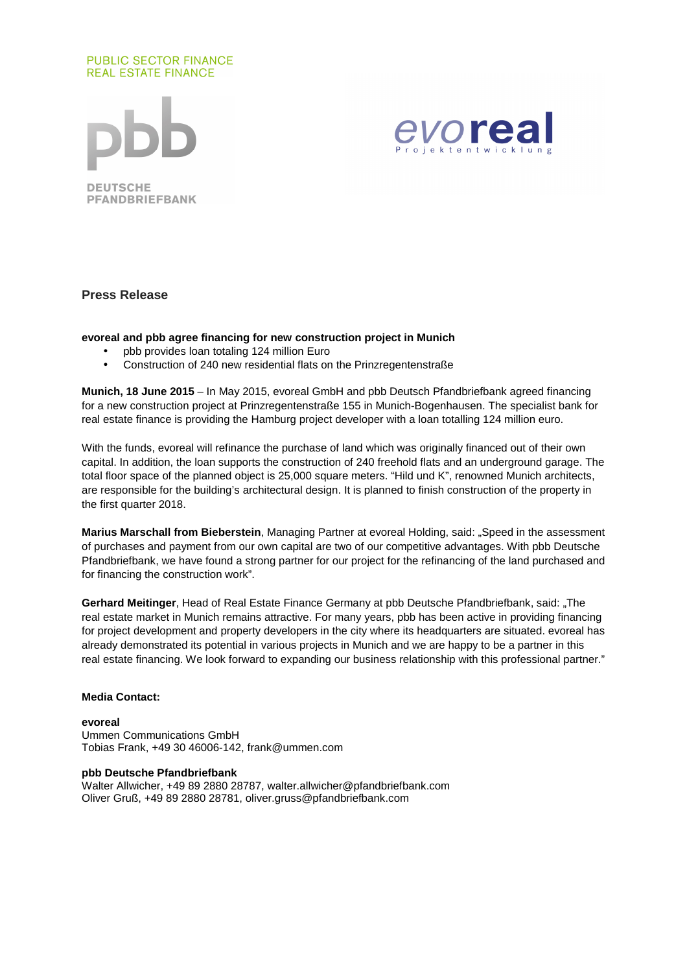# **PUBLIC SECTOR FINANCE REAL ESTATE FINANCE**





**Press Release** 

## **evoreal and pbb agree financing for new construction project in Munich**

- pbb provides loan totaling 124 million Euro
- Construction of 240 new residential flats on the Prinzregentenstraße

**Munich, 18 June 2015** – In May 2015, evoreal GmbH and pbb Deutsch Pfandbriefbank agreed financing for a new construction project at Prinzregentenstraße 155 in Munich-Bogenhausen. The specialist bank for real estate finance is providing the Hamburg project developer with a loan totalling 124 million euro.

With the funds, evoreal will refinance the purchase of land which was originally financed out of their own capital. In addition, the loan supports the construction of 240 freehold flats and an underground garage. The total floor space of the planned object is 25,000 square meters. "Hild und K", renowned Munich architects, are responsible for the building's architectural design. It is planned to finish construction of the property in the first quarter 2018.

**Marius Marschall from Bieberstein**, Managing Partner at evoreal Holding, said: "Speed in the assessment of purchases and payment from our own capital are two of our competitive advantages. With pbb Deutsche Pfandbriefbank, we have found a strong partner for our project for the refinancing of the land purchased and for financing the construction work".

**Gerhard Meitinger**, Head of Real Estate Finance Germany at pbb Deutsche Pfandbriefbank, said: "The real estate market in Munich remains attractive. For many years, pbb has been active in providing financing for project development and property developers in the city where its headquarters are situated. evoreal has already demonstrated its potential in various projects in Munich and we are happy to be a partner in this real estate financing. We look forward to expanding our business relationship with this professional partner."

### **Media Contact:**

#### **evoreal**

Ummen Communications GmbH Tobias Frank, +49 30 46006-142, frank@ummen.com

### **pbb Deutsche Pfandbriefbank**

Walter Allwicher, +49 89 2880 28787, walter.allwicher@pfandbriefbank.com Oliver Gruß, +49 89 2880 28781, oliver.gruss@pfandbriefbank.com